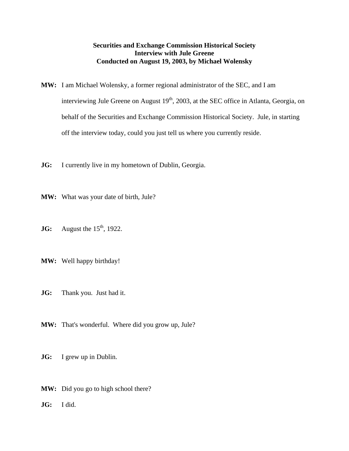## **Securities and Exchange Commission Historical Society Interview with Jule Greene Conducted on August 19, 2003, by Michael Wolensky**

- **MW:** I am Michael Wolensky, a former regional administrator of the SEC, and I am interviewing Jule Greene on August  $19<sup>th</sup>$ , 2003, at the SEC office in Atlanta, Georgia, on behalf of the Securities and Exchange Commission Historical Society. Jule, in starting off the interview today, could you just tell us where you currently reside.
- **JG:** I currently live in my hometown of Dublin, Georgia.
- **MW:** What was your date of birth, Jule?
- **JG:** August the  $15<sup>th</sup>$ , 1922.
- **MW:** Well happy birthday!
- **JG:** Thank you. Just had it.
- **MW:** That's wonderful. Where did you grow up, Jule?
- **JG:** I grew up in Dublin.
- **MW:** Did you go to high school there?
- **JG:** I did.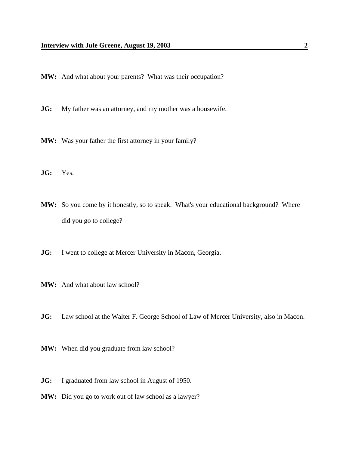- **MW:** And what about your parents? What was their occupation?
- **JG:** My father was an attorney, and my mother was a housewife.
- **MW:** Was your father the first attorney in your family?
- **JG:** Yes.
- **MW:** So you come by it honestly, so to speak. What's your educational background? Where did you go to college?
- **JG:** I went to college at Mercer University in Macon, Georgia.
- **MW:** And what about law school?
- **JG:** Law school at the Walter F. George School of Law of Mercer University, also in Macon.
- **MW:** When did you graduate from law school?
- **JG:** I graduated from law school in August of 1950.
- **MW:** Did you go to work out of law school as a lawyer?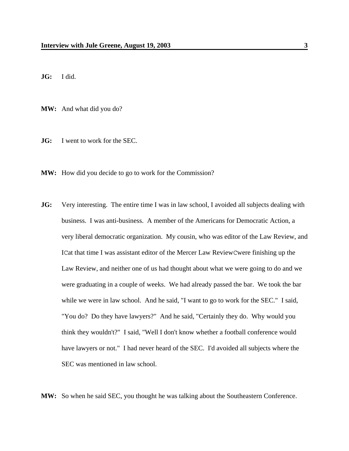**JG:** I did.

**MW:** And what did you do?

**JG:** I went to work for the SEC.

**MW:** How did you decide to go to work for the Commission?

**JG:** Very interesting. The entire time I was in law school, I avoided all subjects dealing with business. I was anti-business. A member of the Americans for Democratic Action, a very liberal democratic organization. My cousin, who was editor of the Law Review, and ICat that time I was assistant editor of the Mercer Law ReviewCwere finishing up the Law Review, and neither one of us had thought about what we were going to do and we were graduating in a couple of weeks. We had already passed the bar. We took the bar while we were in law school. And he said, "I want to go to work for the SEC." I said, "You do? Do they have lawyers?" And he said, "Certainly they do. Why would you think they wouldn't?" I said, "Well I don't know whether a football conference would have lawyers or not." I had never heard of the SEC. I'd avoided all subjects where the SEC was mentioned in law school.

**MW:** So when he said SEC, you thought he was talking about the Southeastern Conference.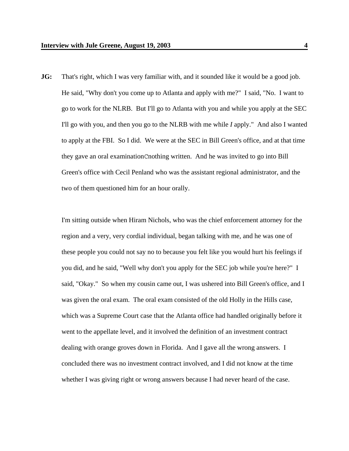**JG:** That's right, which I was very familiar with, and it sounded like it would be a good job. He said, "Why don't you come up to Atlanta and apply with me?" I said, "No. I want to go to work for the NLRB. But I'll go to Atlanta with you and while you apply at the SEC I'll go with you, and then you go to the NLRB with me while *I* apply." And also I wanted to apply at the FBI. So I did. We were at the SEC in Bill Green's office, and at that time they gave an oral examinationCnothing written. And he was invited to go into Bill Green's office with Cecil Penland who was the assistant regional administrator, and the two of them questioned him for an hour orally.

I'm sitting outside when Hiram Nichols, who was the chief enforcement attorney for the region and a very, very cordial individual, began talking with me, and he was one of these people you could not say no to because you felt like you would hurt his feelings if you did, and he said, "Well why don't you apply for the SEC job while you're here?" I said, "Okay." So when my cousin came out, I was ushered into Bill Green's office, and I was given the oral exam. The oral exam consisted of the old Holly in the Hills case, which was a Supreme Court case that the Atlanta office had handled originally before it went to the appellate level, and it involved the definition of an investment contract dealing with orange groves down in Florida. And I gave all the wrong answers. I concluded there was no investment contract involved, and I did not know at the time whether I was giving right or wrong answers because I had never heard of the case.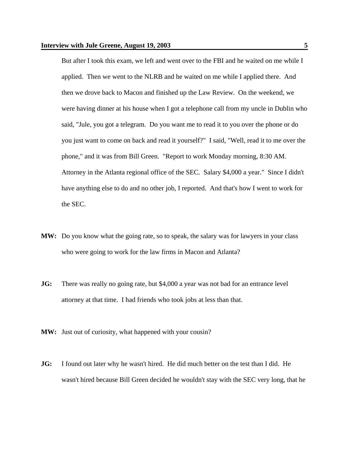But after I took this exam, we left and went over to the FBI and he waited on me while I applied. Then we went to the NLRB and he waited on me while I applied there. And then we drove back to Macon and finished up the Law Review. On the weekend, we were having dinner at his house when I got a telephone call from my uncle in Dublin who said, "Jule, you got a telegram. Do you want me to read it to you over the phone or do you just want to come on back and read it yourself?" I said, "Well, read it to me over the phone," and it was from Bill Green. "Report to work Monday morning, 8:30 AM. Attorney in the Atlanta regional office of the SEC. Salary \$4,000 a year." Since I didn't have anything else to do and no other job, I reported. And that's how I went to work for the SEC.

- **MW:** Do you know what the going rate, so to speak, the salary was for lawyers in your class who were going to work for the law firms in Macon and Atlanta?
- **JG:** There was really no going rate, but \$4,000 a year was not bad for an entrance level attorney at that time. I had friends who took jobs at less than that.
- **MW:** Just out of curiosity, what happened with your cousin?
- **JG:** I found out later why he wasn't hired. He did much better on the test than I did. He wasn't hired because Bill Green decided he wouldn't stay with the SEC very long, that he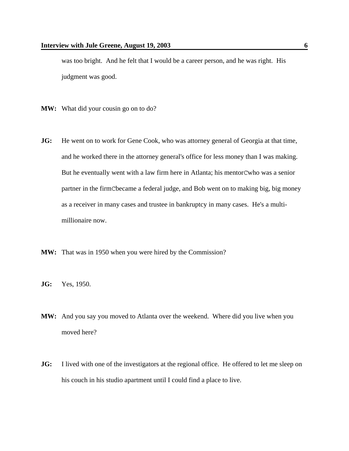was too bright. And he felt that I would be a career person, and he was right. His judgment was good.

- **MW:** What did your cousin go on to do?
- **JG:** He went on to work for Gene Cook, who was attorney general of Georgia at that time, and he worked there in the attorney general's office for less money than I was making. But he eventually went with a law firm here in Atlanta; his mentorCwho was a senior partner in the firmCbecame a federal judge, and Bob went on to making big, big money as a receiver in many cases and trustee in bankruptcy in many cases. He's a multimillionaire now.
- **MW:** That was in 1950 when you were hired by the Commission?
- **JG:** Yes, 1950.
- **MW:** And you say you moved to Atlanta over the weekend. Where did you live when you moved here?
- **JG:** I lived with one of the investigators at the regional office. He offered to let me sleep on his couch in his studio apartment until I could find a place to live.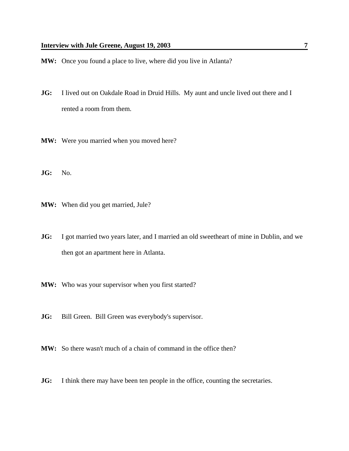- **MW:** Once you found a place to live, where did you live in Atlanta?
- **JG:** I lived out on Oakdale Road in Druid Hills. My aunt and uncle lived out there and I rented a room from them.
- **MW:** Were you married when you moved here?
- **JG:** No.
- **MW:** When did you get married, Jule?
- **JG:** I got married two years later, and I married an old sweetheart of mine in Dublin, and we then got an apartment here in Atlanta.
- **MW:** Who was your supervisor when you first started?
- **JG:** Bill Green. Bill Green was everybody's supervisor.
- **MW:** So there wasn't much of a chain of command in the office then?
- **JG:** I think there may have been ten people in the office, counting the secretaries.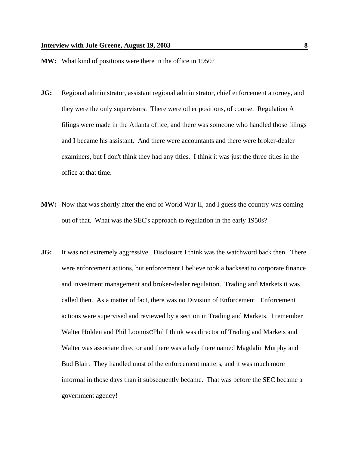- **MW:** What kind of positions were there in the office in 1950?
- **JG:** Regional administrator, assistant regional administrator, chief enforcement attorney, and they were the only supervisors. There were other positions, of course. Regulation A filings were made in the Atlanta office, and there was someone who handled those filings and I became his assistant. And there were accountants and there were broker-dealer examiners, but I don't think they had any titles. I think it was just the three titles in the office at that time.
- **MW:** Now that was shortly after the end of World War II, and I guess the country was coming out of that. What was the SEC's approach to regulation in the early 1950s?
- **JG:** It was not extremely aggressive. Disclosure I think was the watchword back then. There were enforcement actions, but enforcement I believe took a backseat to corporate finance and investment management and broker-dealer regulation. Trading and Markets it was called then. As a matter of fact, there was no Division of Enforcement. Enforcement actions were supervised and reviewed by a section in Trading and Markets. I remember Walter Holden and Phil LoomisCPhil I think was director of Trading and Markets and Walter was associate director and there was a lady there named Magdalin Murphy and Bud Blair. They handled most of the enforcement matters, and it was much more informal in those days than it subsequently became. That was before the SEC became a government agency!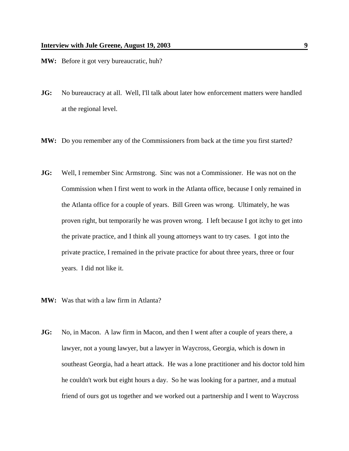- **MW:** Before it got very bureaucratic, huh?
- **JG:** No bureaucracy at all. Well, I'll talk about later how enforcement matters were handled at the regional level.
- **MW:** Do you remember any of the Commissioners from back at the time you first started?
- **JG:** Well, I remember Sinc Armstrong. Sinc was not a Commissioner. He was not on the Commission when I first went to work in the Atlanta office, because I only remained in the Atlanta office for a couple of years. Bill Green was wrong. Ultimately, he was proven right, but temporarily he was proven wrong. I left because I got itchy to get into the private practice, and I think all young attorneys want to try cases. I got into the private practice, I remained in the private practice for about three years, three or four years. I did not like it.
- **MW:** Was that with a law firm in Atlanta?
- **JG:** No, in Macon. A law firm in Macon, and then I went after a couple of years there, a lawyer, not a young lawyer, but a lawyer in Waycross, Georgia, which is down in southeast Georgia, had a heart attack. He was a lone practitioner and his doctor told him he couldn't work but eight hours a day. So he was looking for a partner, and a mutual friend of ours got us together and we worked out a partnership and I went to Waycross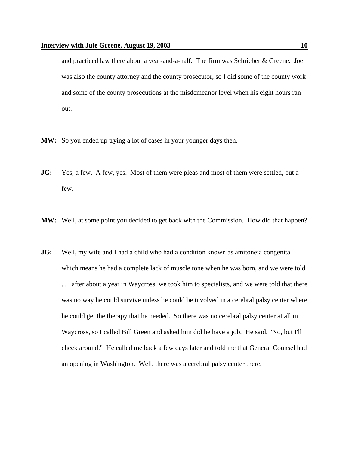and practiced law there about a year-and-a-half. The firm was Schrieber & Greene. Joe was also the county attorney and the county prosecutor, so I did some of the county work and some of the county prosecutions at the misdemeanor level when his eight hours ran out.

- **MW:** So you ended up trying a lot of cases in your younger days then.
- **JG:** Yes, a few. A few, yes. Most of them were pleas and most of them were settled, but a few.
- **MW:** Well, at some point you decided to get back with the Commission. How did that happen?
- **JG:** Well, my wife and I had a child who had a condition known as amitoneia congenita which means he had a complete lack of muscle tone when he was born, and we were told . . . after about a year in Waycross, we took him to specialists, and we were told that there was no way he could survive unless he could be involved in a cerebral palsy center where he could get the therapy that he needed. So there was no cerebral palsy center at all in Waycross, so I called Bill Green and asked him did he have a job. He said, "No, but I'll check around." He called me back a few days later and told me that General Counsel had an opening in Washington. Well, there was a cerebral palsy center there.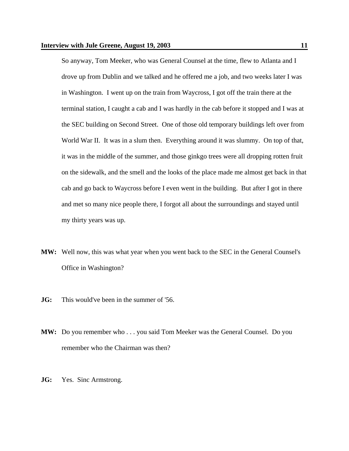So anyway, Tom Meeker, who was General Counsel at the time, flew to Atlanta and I drove up from Dublin and we talked and he offered me a job, and two weeks later I was in Washington. I went up on the train from Waycross, I got off the train there at the terminal station, I caught a cab and I was hardly in the cab before it stopped and I was at the SEC building on Second Street. One of those old temporary buildings left over from World War II. It was in a slum then. Everything around it was slummy. On top of that, it was in the middle of the summer, and those ginkgo trees were all dropping rotten fruit on the sidewalk, and the smell and the looks of the place made me almost get back in that cab and go back to Waycross before I even went in the building. But after I got in there and met so many nice people there, I forgot all about the surroundings and stayed until my thirty years was up.

- **MW:** Well now, this was what year when you went back to the SEC in the General Counsel's Office in Washington?
- **JG:** This would've been in the summer of '56.
- **MW:** Do you remember who . . . you said Tom Meeker was the General Counsel. Do you remember who the Chairman was then?
- **JG:** Yes. Sinc Armstrong.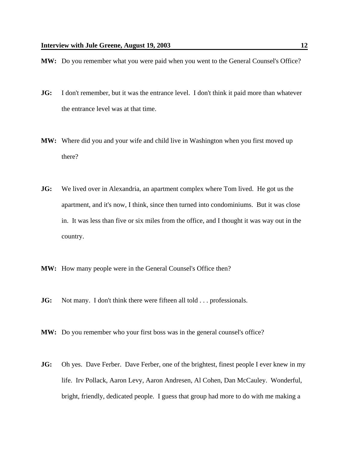- **MW:** Do you remember what you were paid when you went to the General Counsel's Office?
- **JG:** I don't remember, but it was the entrance level. I don't think it paid more than whatever the entrance level was at that time.
- **MW:** Where did you and your wife and child live in Washington when you first moved up there?
- **JG:** We lived over in Alexandria, an apartment complex where Tom lived. He got us the apartment, and it's now, I think, since then turned into condominiums. But it was close in. It was less than five or six miles from the office, and I thought it was way out in the country.
- **MW:** How many people were in the General Counsel's Office then?
- **JG:** Not many. I don't think there were fifteen all told . . . professionals.
- **MW:** Do you remember who your first boss was in the general counsel's office?
- **JG:** Oh yes. Dave Ferber. Dave Ferber, one of the brightest, finest people I ever knew in my life. Irv Pollack, Aaron Levy, Aaron Andresen, Al Cohen, Dan McCauley. Wonderful, bright, friendly, dedicated people. I guess that group had more to do with me making a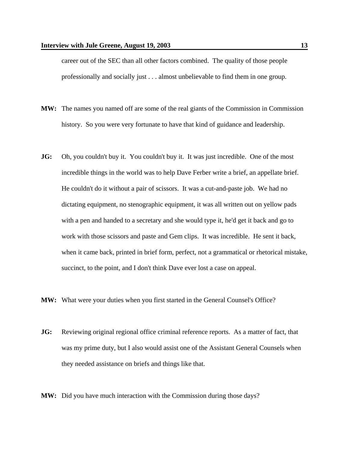career out of the SEC than all other factors combined. The quality of those people professionally and socially just . . . almost unbelievable to find them in one group.

- **MW:** The names you named off are some of the real giants of the Commission in Commission history. So you were very fortunate to have that kind of guidance and leadership.
- **JG:** Oh, you couldn't buy it. You couldn't buy it. It was just incredible. One of the most incredible things in the world was to help Dave Ferber write a brief, an appellate brief. He couldn't do it without a pair of scissors. It was a cut-and-paste job. We had no dictating equipment, no stenographic equipment, it was all written out on yellow pads with a pen and handed to a secretary and she would type it, he'd get it back and go to work with those scissors and paste and Gem clips. It was incredible. He sent it back, when it came back, printed in brief form, perfect, not a grammatical or rhetorical mistake, succinct, to the point, and I don't think Dave ever lost a case on appeal.
- **MW:** What were your duties when you first started in the General Counsel's Office?
- **JG:** Reviewing original regional office criminal reference reports. As a matter of fact, that was my prime duty, but I also would assist one of the Assistant General Counsels when they needed assistance on briefs and things like that.
- **MW:** Did you have much interaction with the Commission during those days?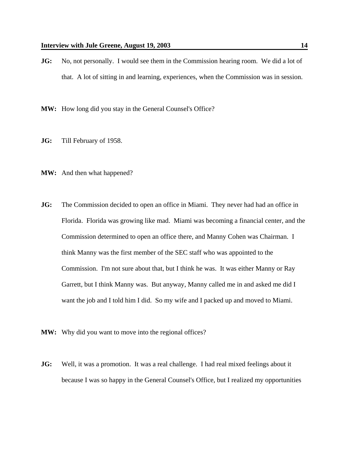**JG:** No, not personally. I would see them in the Commission hearing room. We did a lot of that. A lot of sitting in and learning, experiences, when the Commission was in session.

**MW:** How long did you stay in the General Counsel's Office?

- **JG:** Till February of 1958.
- **MW:** And then what happened?
- **JG:** The Commission decided to open an office in Miami. They never had had an office in Florida. Florida was growing like mad. Miami was becoming a financial center, and the Commission determined to open an office there, and Manny Cohen was Chairman. I think Manny was the first member of the SEC staff who was appointed to the Commission. I'm not sure about that, but I think he was. It was either Manny or Ray Garrett, but I think Manny was. But anyway, Manny called me in and asked me did I want the job and I told him I did. So my wife and I packed up and moved to Miami.
- **MW:** Why did you want to move into the regional offices?
- **JG:** Well, it was a promotion. It was a real challenge. I had real mixed feelings about it because I was so happy in the General Counsel's Office, but I realized my opportunities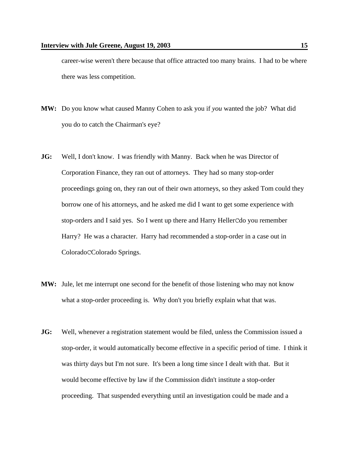career-wise weren't there because that office attracted too many brains. I had to be where there was less competition.

- **MW:** Do you know what caused Manny Cohen to ask you if *you* wanted the job? What did you do to catch the Chairman's eye?
- **JG:** Well, I don't know. I was friendly with Manny. Back when he was Director of Corporation Finance, they ran out of attorneys. They had so many stop-order proceedings going on, they ran out of their own attorneys, so they asked Tom could they borrow one of his attorneys, and he asked me did I want to get some experience with stop-orders and I said yes. So I went up there and Harry HellerCdo you remember Harry? He was a character. Harry had recommended a stop-order in a case out in ColoradoCColorado Springs.
- **MW:** Jule, let me interrupt one second for the benefit of those listening who may not know what a stop-order proceeding is. Why don't you briefly explain what that was.
- **JG:** Well, whenever a registration statement would be filed, unless the Commission issued a stop-order, it would automatically become effective in a specific period of time. I think it was thirty days but I'm not sure. It's been a long time since I dealt with that. But it would become effective by law if the Commission didn't institute a stop-order proceeding. That suspended everything until an investigation could be made and a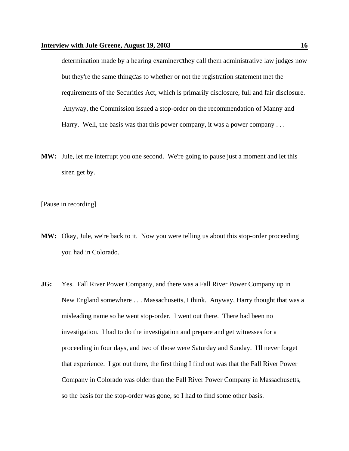determination made by a hearing examinerCthey call them administrative law judges now but they're the same thingCas to whether or not the registration statement met the requirements of the Securities Act, which is primarily disclosure, full and fair disclosure. Anyway, the Commission issued a stop-order on the recommendation of Manny and Harry. Well, the basis was that this power company, it was a power company . . .

**MW:** Jule, let me interrupt you one second. We're going to pause just a moment and let this siren get by.

[Pause in recording]

- **MW:** Okay, Jule, we're back to it. Now you were telling us about this stop-order proceeding you had in Colorado.
- **JG:** Yes. Fall River Power Company, and there was a Fall River Power Company up in New England somewhere . . . Massachusetts, I think. Anyway, Harry thought that was a misleading name so he went stop-order. I went out there. There had been no investigation. I had to do the investigation and prepare and get witnesses for a proceeding in four days, and two of those were Saturday and Sunday. I'll never forget that experience. I got out there, the first thing I find out was that the Fall River Power Company in Colorado was older than the Fall River Power Company in Massachusetts, so the basis for the stop-order was gone, so I had to find some other basis.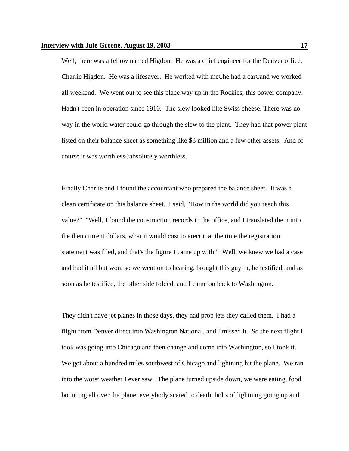Well, there was a fellow named Higdon. He was a chief engineer for the Denver office. Charlie Higdon. He was a lifesaver. He worked with meChe had a carCand we worked all weekend. We went out to see this place way up in the Rockies, this power company. Hadn't been in operation since 1910. The slew looked like Swiss cheese. There was no way in the world water could go through the slew to the plant. They had that power plant listed on their balance sheet as something like \$3 million and a few other assets. And of course it was worthlessCabsolutely worthless.

Finally Charlie and I found the accountant who prepared the balance sheet. It was a clean certificate on this balance sheet. I said, "How in the world did you reach this value?" "Well, I found the construction records in the office, and I translated them into the then current dollars, what it would cost to erect it at the time the registration statement was filed, and that's the figure I came up with." Well, we knew we had a case and had it all but won, so we went on to hearing, brought this guy in, he testified, and as soon as he testified, the other side folded, and I came on back to Washington.

They didn't have jet planes in those days, they had prop jets they called them. I had a flight from Denver direct into Washington National, and I missed it. So the next flight I took was going into Chicago and then change and come into Washington, so I took it. We got about a hundred miles southwest of Chicago and lightning hit the plane. We ran into the worst weather I ever saw. The plane turned upside down, we were eating, food bouncing all over the plane, everybody scared to death, bolts of lightning going up and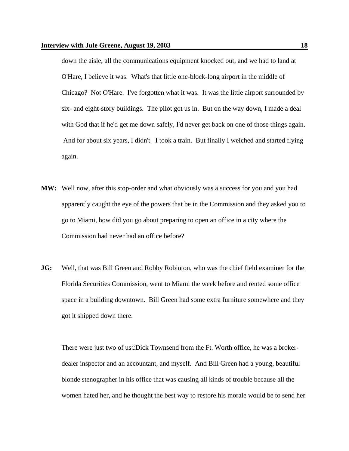down the aisle, all the communications equipment knocked out, and we had to land at O'Hare, I believe it was. What's that little one-block-long airport in the middle of Chicago? Not O'Hare. I've forgotten what it was. It was the little airport surrounded by six- and eight-story buildings. The pilot got us in. But on the way down, I made a deal with God that if he'd get me down safely, I'd never get back on one of those things again. And for about six years, I didn't. I took a train. But finally I welched and started flying again.

- **MW:** Well now, after this stop-order and what obviously was a success for you and you had apparently caught the eye of the powers that be in the Commission and they asked you to go to Miami, how did you go about preparing to open an office in a city where the Commission had never had an office before?
- **JG:** Well, that was Bill Green and Robby Robinton, who was the chief field examiner for the Florida Securities Commission, went to Miami the week before and rented some office space in a building downtown. Bill Green had some extra furniture somewhere and they got it shipped down there.

There were just two of usCDick Townsend from the Ft. Worth office, he was a brokerdealer inspector and an accountant, and myself. And Bill Green had a young, beautiful blonde stenographer in his office that was causing all kinds of trouble because all the women hated her, and he thought the best way to restore his morale would be to send her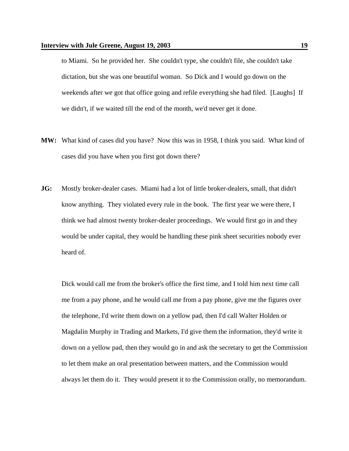to Miami. So he provided her. She couldn't type, she couldn't file, she couldn't take dictation, but she was one beautiful woman. So Dick and I would go down on the weekends after we got that office going and refile everything she had filed. [Laughs] If we didn't, if we waited till the end of the month, we'd never get it done.

- **MW:** What kind of cases did you have? Now this was in 1958, I think you said. What kind of cases did you have when you first got down there?
- **JG:** Mostly broker-dealer cases. Miami had a lot of little broker-dealers, small, that didn't know anything. They violated every rule in the book. The first year we were there, I think we had almost twenty broker-dealer proceedings. We would first go in and they would be under capital, they would be handling these pink sheet securities nobody ever heard of.

Dick would call me from the broker's office the first time, and I told him next time call me from a pay phone, and he would call me from a pay phone, give me the figures over the telephone, I'd write them down on a yellow pad, then I'd call Walter Holden or Magdalin Murphy in Trading and Markets, I'd give them the information, they'd write it down on a yellow pad, then they would go in and ask the secretary to get the Commission to let them make an oral presentation between matters, and the Commission would always let them do it. They would present it to the Commission orally, no memorandum.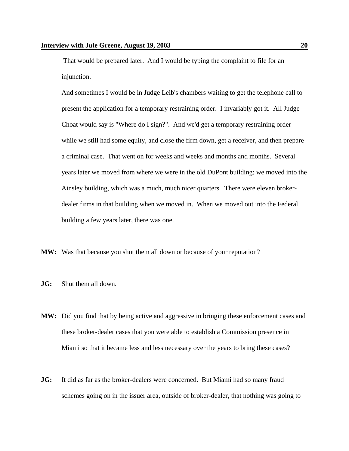That would be prepared later. And I would be typing the complaint to file for an injunction.

And sometimes I would be in Judge Leib's chambers waiting to get the telephone call to present the application for a temporary restraining order. I invariably got it. All Judge Choat would say is "Where do I sign?". And we'd get a temporary restraining order while we still had some equity, and close the firm down, get a receiver, and then prepare a criminal case. That went on for weeks and weeks and months and months. Several years later we moved from where we were in the old DuPont building; we moved into the Ainsley building, which was a much, much nicer quarters. There were eleven brokerdealer firms in that building when we moved in. When we moved out into the Federal building a few years later, there was one.

- **MW:** Was that because you shut them all down or because of your reputation?
- **JG:** Shut them all down.
- **MW:** Did you find that by being active and aggressive in bringing these enforcement cases and these broker-dealer cases that you were able to establish a Commission presence in Miami so that it became less and less necessary over the years to bring these cases?
- **JG:** It did as far as the broker-dealers were concerned. But Miami had so many fraud schemes going on in the issuer area, outside of broker-dealer, that nothing was going to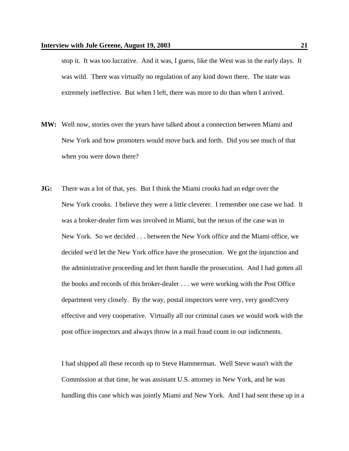stop it. It was too lucrative. And it was, I guess, like the West was in the early days. It was wild. There was virtually no regulation of any kind down there. The state was extremely ineffective. But when I left, there was more to do than when I arrived.

- **MW:** Well now, stories over the years have talked about a connection between Miami and New York and how promoters would move back and forth. Did you see much of that when you were down there?
- **JG:** There was a lot of that, yes. But I think the Miami crooks had an edge over the New York crooks. I believe they were a little cleverer. I remember one case we had. It was a broker-dealer firm was involved in Miami, but the nexus of the case was in New York. So we decided . . . between the New York office and the Miami office, we decided we'd let the New York office have the prosecution. We got the injunction and the administrative proceeding and let them handle the prosecution. And I had gotten all the books and records of this broker-dealer . . . we were working with the Post Office department very closely. By the way, postal inspectors were very, very goodCvery effective and very cooperative. Virtually all our criminal cases we would work with the post office inspectors and always throw in a mail fraud count in our indictments.

I had shipped all these records up to Steve Hammerman. Well Steve wasn't with the Commission at that time, he was assistant U.S. attorney in New York, and he was handling this case which was jointly Miami and New York. And I had sent these up in a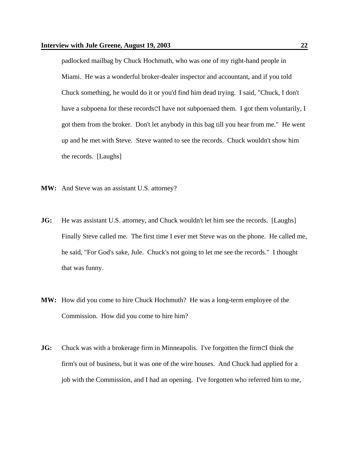padlocked mailbag by Chuck Hochmuth, who was one of my right-hand people in Miami. He was a wonderful broker-dealer inspector and accountant, and if you told Chuck something, he would do it or you'd find him dead trying. I said, "Chuck, I don't have a subpoena for these records CI have not subpoenaed them. I got them voluntarily, I got them from the broker. Don't let anybody in this bag till you hear from me." He went up and he met with Steve. Steve wanted to see the records. Chuck wouldn't show him the records. [Laughs]

- **MW:** And Steve was an assistant U.S. attorney?
- **JG:** He was assistant U.S. attorney, and Chuck wouldn't let him see the records. [Laughs] Finally Steve called me. The first time I ever met Steve was on the phone. He called me, he said, "For God's sake, Jule. Chuck's not going to let me see the records." I thought that was funny.
- **MW:** How did you come to hire Chuck Hochmuth? He was a long-term employee of the Commission. How did you come to hire him?
- **JG:** Chuck was with a brokerage firm in Minneapolis. I've forgotten the firmCI think the firm's out of business, but it was one of the wire houses. And Chuck had applied for a job with the Commission, and I had an opening. I've forgotten who referred him to me,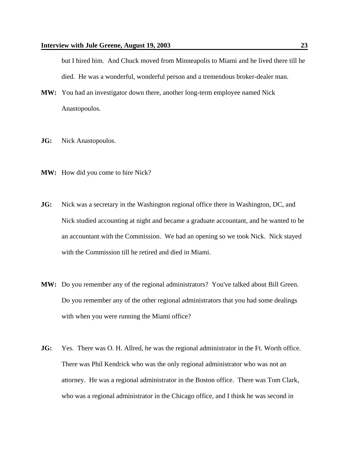but I hired him. And Chuck moved from Minneapolis to Miami and he lived there till he died. He was a wonderful, wonderful person and a tremendous broker-dealer man.

- **MW:** You had an investigator down there, another long-term employee named Nick Anastopoulos.
- **JG:** Nick Anastopoulos.
- **MW:** How did you come to hire Nick?
- **JG:** Nick was a secretary in the Washington regional office there in Washington, DC, and Nick studied accounting at night and became a graduate accountant, and he wanted to be an accountant with the Commission. We had an opening so we took Nick. Nick stayed with the Commission till he retired and died in Miami.
- **MW:** Do you remember any of the regional administrators? You've talked about Bill Green. Do you remember any of the other regional administrators that you had some dealings with when you were running the Miami office?
- **JG:** Yes. There was O. H. Allred, he was the regional administrator in the Ft. Worth office. There was Phil Kendrick who was the only regional administrator who was not an attorney. He was a regional administrator in the Boston office. There was Tom Clark, who was a regional administrator in the Chicago office, and I think he was second in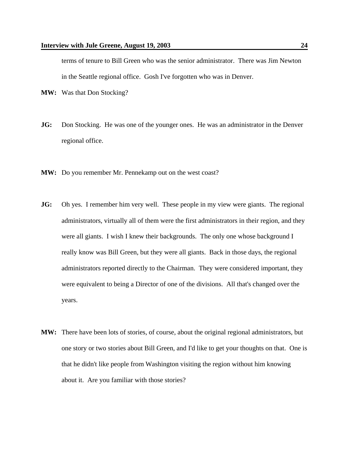terms of tenure to Bill Green who was the senior administrator. There was Jim Newton in the Seattle regional office. Gosh I've forgotten who was in Denver.

- **MW:** Was that Don Stocking?
- **JG:** Don Stocking. He was one of the younger ones. He was an administrator in the Denver regional office.
- **MW:** Do you remember Mr. Pennekamp out on the west coast?
- **JG:** Oh yes. I remember him very well. These people in my view were giants. The regional administrators, virtually all of them were the first administrators in their region, and they were all giants. I wish I knew their backgrounds. The only one whose background I really know was Bill Green, but they were all giants. Back in those days, the regional administrators reported directly to the Chairman. They were considered important, they were equivalent to being a Director of one of the divisions. All that's changed over the years.
- **MW:** There have been lots of stories, of course, about the original regional administrators, but one story or two stories about Bill Green, and I'd like to get your thoughts on that. One is that he didn't like people from Washington visiting the region without him knowing about it. Are you familiar with those stories?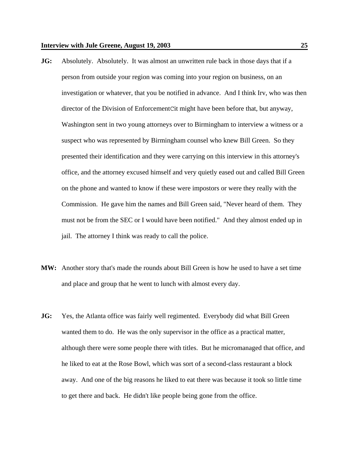- **JG:** Absolutely. Absolutely. It was almost an unwritten rule back in those days that if a person from outside your region was coming into your region on business, on an investigation or whatever, that you be notified in advance. And I think Irv, who was then director of the Division of EnforcementCit might have been before that, but anyway, Washington sent in two young attorneys over to Birmingham to interview a witness or a suspect who was represented by Birmingham counsel who knew Bill Green. So they presented their identification and they were carrying on this interview in this attorney's office, and the attorney excused himself and very quietly eased out and called Bill Green on the phone and wanted to know if these were impostors or were they really with the Commission. He gave him the names and Bill Green said, "Never heard of them. They must not be from the SEC or I would have been notified." And they almost ended up in jail. The attorney I think was ready to call the police.
- **MW:** Another story that's made the rounds about Bill Green is how he used to have a set time and place and group that he went to lunch with almost every day.
- **JG:** Yes, the Atlanta office was fairly well regimented. Everybody did what Bill Green wanted them to do. He was the only supervisor in the office as a practical matter, although there were some people there with titles. But he micromanaged that office, and he liked to eat at the Rose Bowl, which was sort of a second-class restaurant a block away. And one of the big reasons he liked to eat there was because it took so little time to get there and back. He didn't like people being gone from the office.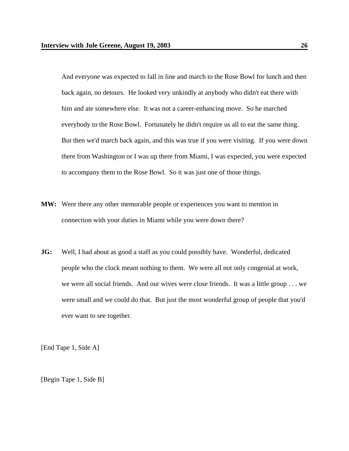And everyone was expected to fall in line and march to the Rose Bowl for lunch and then back again, no detours. He looked very unkindly at anybody who didn't eat there with him and ate somewhere else. It was not a career-enhancing move. So he marched everybody to the Rose Bowl. Fortunately he didn't require us all to eat the same thing. But then we'd march back again, and this was true if you were visiting. If you were down there from Washington or I was up there from Miami, I was expected, you were expected to accompany them to the Rose Bowl. So it was just one of those things.

- **MW:** Were there any other memorable people or experiences you want to mention in connection with your duties in Miami while you were down there?
- **JG:** Well, I had about as good a staff as you could possibly have. Wonderful, dedicated people who the clock meant nothing to them. We were all not only congenial at work, we were all social friends. And our wives were close friends. It was a little group . . . we were small and we could do that. But just the most wonderful group of people that you'd ever want to see together.

[End Tape 1, Side A]

[Begin Tape 1, Side B]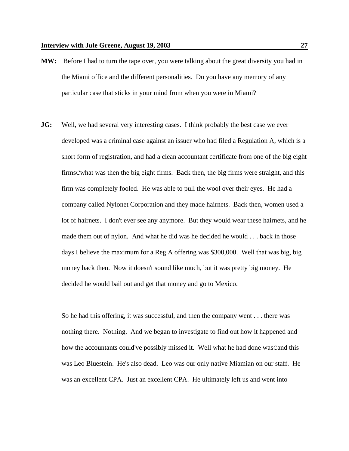- **MW:** Before I had to turn the tape over, you were talking about the great diversity you had in the Miami office and the different personalities. Do you have any memory of any particular case that sticks in your mind from when you were in Miami?
- **JG:** Well, we had several very interesting cases. I think probably the best case we ever developed was a criminal case against an issuer who had filed a Regulation A, which is a short form of registration, and had a clean accountant certificate from one of the big eight firmsCwhat was then the big eight firms. Back then, the big firms were straight, and this firm was completely fooled. He was able to pull the wool over their eyes. He had a company called Nylonet Corporation and they made hairnets. Back then, women used a lot of hairnets. I don't ever see any anymore. But they would wear these hairnets, and he made them out of nylon. And what he did was he decided he would . . . back in those days I believe the maximum for a Reg A offering was \$300,000. Well that was big, big money back then. Now it doesn't sound like much, but it was pretty big money. He decided he would bail out and get that money and go to Mexico.

So he had this offering, it was successful, and then the company went . . . there was nothing there. Nothing. And we began to investigate to find out how it happened and how the accountants could've possibly missed it. Well what he had done wasCand this was Leo Bluestein. He's also dead. Leo was our only native Miamian on our staff. He was an excellent CPA. Just an excellent CPA. He ultimately left us and went into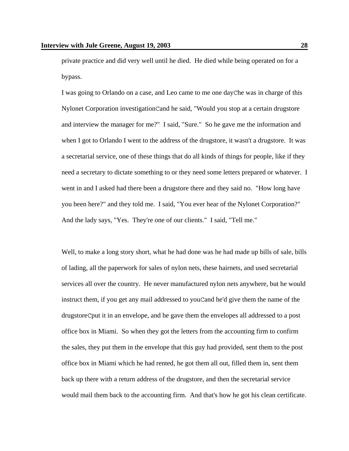private practice and did very well until he died. He died while being operated on for a bypass.

I was going to Orlando on a case, and Leo came to me one dayChe was in charge of this Nylonet Corporation investigationCand he said, "Would you stop at a certain drugstore and interview the manager for me?" I said, "Sure." So he gave me the information and when I got to Orlando I went to the address of the drugstore, it wasn't a drugstore. It was a secretarial service, one of these things that do all kinds of things for people, like if they need a secretary to dictate something to or they need some letters prepared or whatever. I went in and I asked had there been a drugstore there and they said no. "How long have you been here?" and they told me. I said, "You ever hear of the Nylonet Corporation?" And the lady says, "Yes. They're one of our clients." I said, "Tell me."

Well, to make a long story short, what he had done was he had made up bills of sale, bills of lading, all the paperwork for sales of nylon nets, these hairnets, and used secretarial services all over the country. He never manufactured nylon nets anywhere, but he would instruct them, if you get any mail addressed to youCand he'd give them the name of the drugstoreCput it in an envelope, and he gave them the envelopes all addressed to a post office box in Miami. So when they got the letters from the accounting firm to confirm the sales, they put them in the envelope that this guy had provided, sent them to the post office box in Miami which he had rented, he got them all out, filled them in, sent them back up there with a return address of the drugstore, and then the secretarial service would mail them back to the accounting firm. And that's how he got his clean certificate.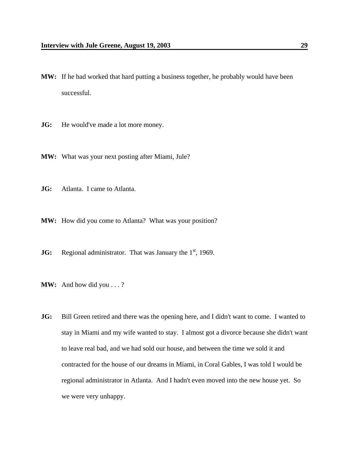- **MW:** If he had worked that hard putting a business together, he probably would have been successful.
- **JG:** He would've made a lot more money.
- **MW:** What was your next posting after Miami, Jule?
- **JG:** Atlanta. I came to Atlanta.
- **MW:** How did you come to Atlanta? What was your position?
- **JG:** Regional administrator. That was January the 1<sup>st</sup>, 1969.
- **MW:** And how did you . . . ?
- **JG:** Bill Green retired and there was the opening here, and I didn't want to come. I wanted to stay in Miami and my wife wanted to stay. I almost got a divorce because she didn't want to leave real bad, and we had sold our house, and between the time we sold it and contracted for the house of our dreams in Miami, in Coral Gables, I was told I would be regional administrator in Atlanta. And I hadn't even moved into the new house yet. So we were very unhappy.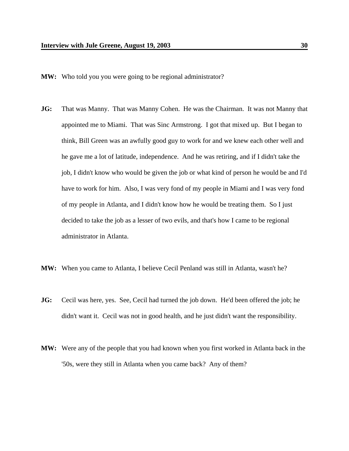- **MW:** Who told you you were going to be regional administrator?
- **JG:** That was Manny. That was Manny Cohen. He was the Chairman. It was not Manny that appointed me to Miami. That was Sinc Armstrong. I got that mixed up. But I began to think, Bill Green was an awfully good guy to work for and we knew each other well and he gave me a lot of latitude, independence. And he was retiring, and if I didn't take the job, I didn't know who would be given the job or what kind of person he would be and I'd have to work for him. Also, I was very fond of my people in Miami and I was very fond of my people in Atlanta, and I didn't know how he would be treating them. So I just decided to take the job as a lesser of two evils, and that's how I came to be regional administrator in Atlanta.
- **MW:** When you came to Atlanta, I believe Cecil Penland was still in Atlanta, wasn't he?
- **JG:** Cecil was here, yes. See, Cecil had turned the job down. He'd been offered the job; he didn't want it. Cecil was not in good health, and he just didn't want the responsibility.
- **MW:** Were any of the people that you had known when you first worked in Atlanta back in the '50s, were they still in Atlanta when you came back? Any of them?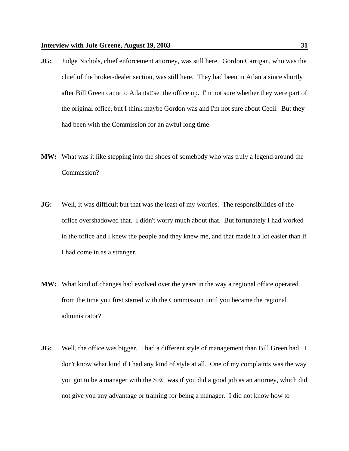- **JG:** Judge Nichols, chief enforcement attorney, was still here. Gordon Carrigan, who was the chief of the broker-dealer section, was still here. They had been in Atlanta since shortly after Bill Green came to AtlantaCset the office up. I'm not sure whether they were part of the original office, but I think maybe Gordon was and I'm not sure about Cecil. But they had been with the Commission for an awful long time.
- **MW:** What was it like stepping into the shoes of somebody who was truly a legend around the Commission?
- **JG:** Well, it was difficult but that was the least of my worries. The responsibilities of the office overshadowed that. I didn't worry much about that. But fortunately I had worked in the office and I knew the people and they knew me, and that made it a lot easier than if I had come in as a stranger.
- **MW:** What kind of changes had evolved over the years in the way a regional office operated from the time you first started with the Commission until you became the regional administrator?
- **JG:** Well, the office was bigger. I had a different style of management than Bill Green had. I don't know what kind if I had any kind of style at all. One of my complaints was the way you got to be a manager with the SEC was if you did a good job as an attorney, which did not give you any advantage or training for being a manager. I did not know how to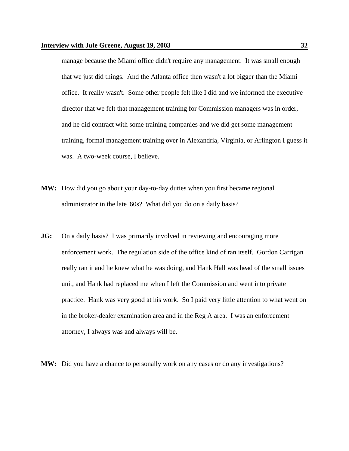manage because the Miami office didn't require any management. It was small enough that we just did things. And the Atlanta office then wasn't a lot bigger than the Miami office. It really wasn't. Some other people felt like I did and we informed the executive director that we felt that management training for Commission managers was in order, and he did contract with some training companies and we did get some management training, formal management training over in Alexandria, Virginia, or Arlington I guess it was. A two-week course, I believe.

- **MW:** How did you go about your day-to-day duties when you first became regional administrator in the late '60s? What did you do on a daily basis?
- **JG:** On a daily basis? I was primarily involved in reviewing and encouraging more enforcement work. The regulation side of the office kind of ran itself. Gordon Carrigan really ran it and he knew what he was doing, and Hank Hall was head of the small issues unit, and Hank had replaced me when I left the Commission and went into private practice. Hank was very good at his work. So I paid very little attention to what went on in the broker-dealer examination area and in the Reg A area. I was an enforcement attorney, I always was and always will be.

**MW:** Did you have a chance to personally work on any cases or do any investigations?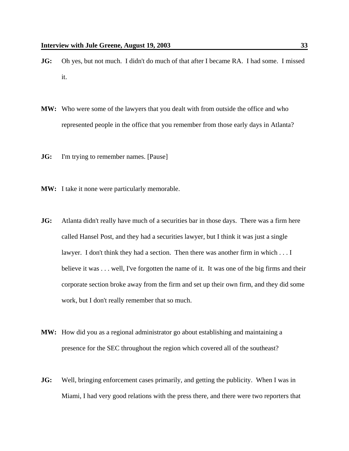- **JG:** Oh yes, but not much. I didn't do much of that after I became RA. I had some. I missed it.
- **MW:** Who were some of the lawyers that you dealt with from outside the office and who represented people in the office that you remember from those early days in Atlanta?
- **JG:** I'm trying to remember names. [Pause]
- **MW:** I take it none were particularly memorable.
- **JG:** Atlanta didn't really have much of a securities bar in those days. There was a firm here called Hansel Post, and they had a securities lawyer, but I think it was just a single lawyer. I don't think they had a section. Then there was another firm in which . . . I believe it was . . . well, I've forgotten the name of it. It was one of the big firms and their corporate section broke away from the firm and set up their own firm, and they did some work, but I don't really remember that so much.
- **MW:** How did you as a regional administrator go about establishing and maintaining a presence for the SEC throughout the region which covered all of the southeast?
- **JG:** Well, bringing enforcement cases primarily, and getting the publicity. When I was in Miami, I had very good relations with the press there, and there were two reporters that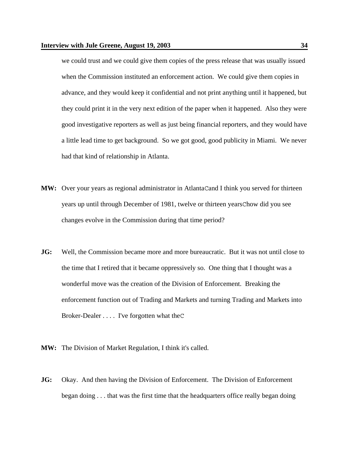we could trust and we could give them copies of the press release that was usually issued when the Commission instituted an enforcement action. We could give them copies in advance, and they would keep it confidential and not print anything until it happened, but they could print it in the very next edition of the paper when it happened. Also they were good investigative reporters as well as just being financial reporters, and they would have a little lead time to get background. So we got good, good publicity in Miami. We never had that kind of relationship in Atlanta.

- **MW:** Over your years as regional administrator in AtlantaCand I think you served for thirteen years up until through December of 1981, twelve or thirteen yearsChow did you see changes evolve in the Commission during that time period?
- **JG:** Well, the Commission became more and more bureaucratic. But it was not until close to the time that I retired that it became oppressively so. One thing that I thought was a wonderful move was the creation of the Division of Enforcement. Breaking the enforcement function out of Trading and Markets and turning Trading and Markets into Broker-Dealer . . . . I've forgotten what theC
- **MW:** The Division of Market Regulation, I think it's called.
- **JG:** Okay. And then having the Division of Enforcement. The Division of Enforcement began doing . . . that was the first time that the headquarters office really began doing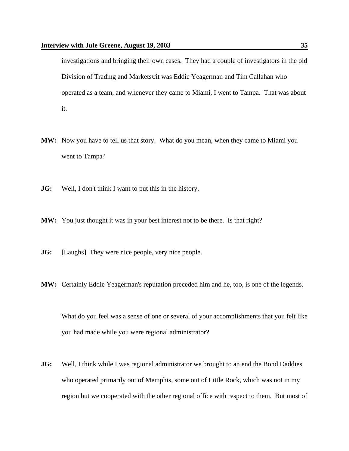investigations and bringing their own cases. They had a couple of investigators in the old Division of Trading and MarketsCit was Eddie Yeagerman and Tim Callahan who operated as a team, and whenever they came to Miami, I went to Tampa. That was about it.

- **MW:** Now you have to tell us that story. What do you mean, when they came to Miami you went to Tampa?
- **JG:** Well, I don't think I want to put this in the history.
- **MW:** You just thought it was in your best interest not to be there. Is that right?
- **JG:** [Laughs] They were nice people, very nice people.
- **MW:** Certainly Eddie Yeagerman's reputation preceded him and he, too, is one of the legends.

What do you feel was a sense of one or several of your accomplishments that you felt like you had made while you were regional administrator?

**JG:** Well, I think while I was regional administrator we brought to an end the Bond Daddies who operated primarily out of Memphis, some out of Little Rock, which was not in my region but we cooperated with the other regional office with respect to them. But most of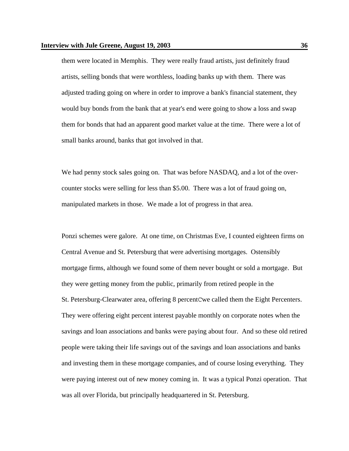them were located in Memphis. They were really fraud artists, just definitely fraud artists, selling bonds that were worthless, loading banks up with them. There was adjusted trading going on where in order to improve a bank's financial statement, they would buy bonds from the bank that at year's end were going to show a loss and swap them for bonds that had an apparent good market value at the time. There were a lot of small banks around, banks that got involved in that.

We had penny stock sales going on. That was before NASDAQ, and a lot of the overcounter stocks were selling for less than \$5.00. There was a lot of fraud going on, manipulated markets in those. We made a lot of progress in that area.

Ponzi schemes were galore. At one time, on Christmas Eve, I counted eighteen firms on Central Avenue and St. Petersburg that were advertising mortgages. Ostensibly mortgage firms, although we found some of them never bought or sold a mortgage. But they were getting money from the public, primarily from retired people in the St. Petersburg-Clearwater area, offering 8 percentCwe called them the Eight Percenters. They were offering eight percent interest payable monthly on corporate notes when the savings and loan associations and banks were paying about four. And so these old retired people were taking their life savings out of the savings and loan associations and banks and investing them in these mortgage companies, and of course losing everything. They were paying interest out of new money coming in. It was a typical Ponzi operation. That was all over Florida, but principally headquartered in St. Petersburg.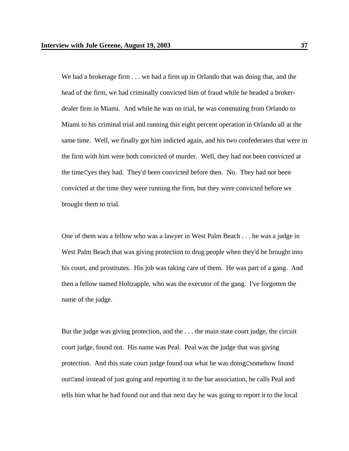We had a brokerage firm . . . we had a firm up in Orlando that was doing that, and the head of the firm, we had criminally convicted him of fraud while he headed a brokerdealer firm in Miami. And while he was on trial, he was commuting from Orlando to Miami to his criminal trial and running this eight percent operation in Orlando all at the same time. Well, we finally got him indicted again, and his two confederates that were in the firm with him were both convicted of murder. Well, they had not been convicted at the timeCyes they had. They'd been convicted before then. No. They had not been convicted at the time they were running the firm, but they were convicted before we brought them to trial.

One of them was a fellow who was a lawyer in West Palm Beach . . . he was a judge in West Palm Beach that was giving protection to drug people when they'd be brought into his court, and prostitutes. His job was taking care of them. He was part of a gang. And then a fellow named Holtzapple, who was the executor of the gang. I've forgotten the name of the judge.

But the judge was giving protection, and the . . . the main state court judge, the circuit court judge, found out. His name was Peal. Peal was the judge that was giving protection. And this state court judge found out what he was doingCsomehow found outCand instead of just going and reporting it to the bar association, he calls Peal and tells him what he had found out and that next day he was going to report it to the local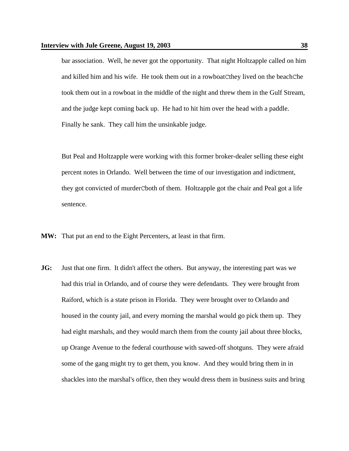bar association. Well, he never got the opportunity. That night Holtzapple called on him and killed him and his wife. He took them out in a rowboatCthey lived on the beachChe took them out in a rowboat in the middle of the night and threw them in the Gulf Stream, and the judge kept coming back up. He had to hit him over the head with a paddle. Finally he sank. They call him the unsinkable judge.

But Peal and Holtzapple were working with this former broker-dealer selling these eight percent notes in Orlando. Well between the time of our investigation and indictment, they got convicted of murderCboth of them. Holtzapple got the chair and Peal got a life sentence.

- **MW:** That put an end to the Eight Percenters, at least in that firm.
- **JG:** Just that one firm. It didn't affect the others. But anyway, the interesting part was we had this trial in Orlando, and of course they were defendants. They were brought from Raiford, which is a state prison in Florida. They were brought over to Orlando and housed in the county jail, and every morning the marshal would go pick them up. They had eight marshals, and they would march them from the county jail about three blocks, up Orange Avenue to the federal courthouse with sawed-off shotguns. They were afraid some of the gang might try to get them, you know. And they would bring them in in shackles into the marshal's office, then they would dress them in business suits and bring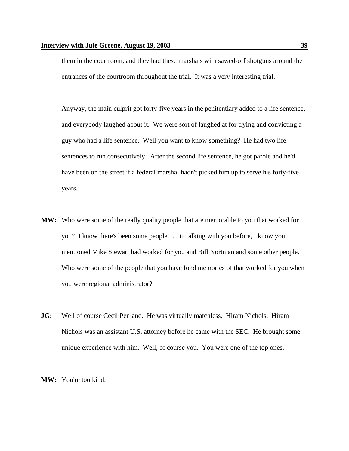them in the courtroom, and they had these marshals with sawed-off shotguns around the entrances of the courtroom throughout the trial. It was a very interesting trial.

Anyway, the main culprit got forty-five years in the penitentiary added to a life sentence, and everybody laughed about it. We were sort of laughed at for trying and convicting a guy who had a life sentence. Well you want to know something? He had two life sentences to run consecutively. After the second life sentence, he got parole and he'd have been on the street if a federal marshal hadn't picked him up to serve his forty-five years.

- **MW:** Who were some of the really quality people that are memorable to you that worked for you? I know there's been some people . . . in talking with you before, I know you mentioned Mike Stewart had worked for you and Bill Nortman and some other people. Who were some of the people that you have fond memories of that worked for you when you were regional administrator?
- **JG:** Well of course Cecil Penland. He was virtually matchless. Hiram Nichols. Hiram Nichols was an assistant U.S. attorney before he came with the SEC. He brought some unique experience with him. Well, of course you. You were one of the top ones.

**MW:** You're too kind.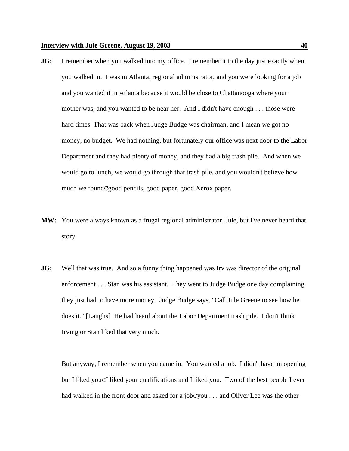- **JG:** I remember when you walked into my office. I remember it to the day just exactly when you walked in. I was in Atlanta, regional administrator, and you were looking for a job and you wanted it in Atlanta because it would be close to Chattanooga where your mother was, and you wanted to be near her. And I didn't have enough . . . those were hard times. That was back when Judge Budge was chairman, and I mean we got no money, no budget. We had nothing, but fortunately our office was next door to the Labor Department and they had plenty of money, and they had a big trash pile. And when we would go to lunch, we would go through that trash pile, and you wouldn't believe how much we foundCgood pencils, good paper, good Xerox paper.
- **MW:** You were always known as a frugal regional administrator, Jule, but I've never heard that story.
- **JG:** Well that was true. And so a funny thing happened was Irv was director of the original enforcement . . . Stan was his assistant. They went to Judge Budge one day complaining they just had to have more money. Judge Budge says, "Call Jule Greene to see how he does it." [Laughs] He had heard about the Labor Department trash pile. I don't think Irving or Stan liked that very much.

But anyway, I remember when you came in. You wanted a job. I didn't have an opening but I liked youCI liked your qualifications and I liked you. Two of the best people I ever had walked in the front door and asked for a jobCyou . . . and Oliver Lee was the other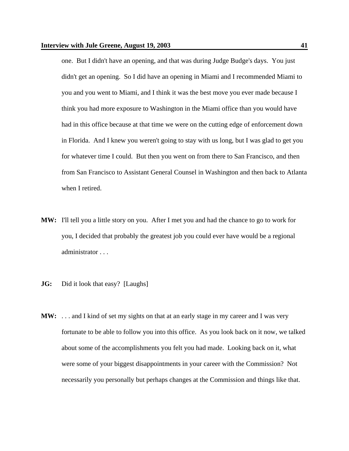one. But I didn't have an opening, and that was during Judge Budge's days. You just didn't get an opening. So I did have an opening in Miami and I recommended Miami to you and you went to Miami, and I think it was the best move you ever made because I think you had more exposure to Washington in the Miami office than you would have had in this office because at that time we were on the cutting edge of enforcement down in Florida. And I knew you weren't going to stay with us long, but I was glad to get you for whatever time I could. But then you went on from there to San Francisco, and then from San Francisco to Assistant General Counsel in Washington and then back to Atlanta when I retired.

- **MW:** I'll tell you a little story on you. After I met you and had the chance to go to work for you, I decided that probably the greatest job you could ever have would be a regional administrator . . .
- **JG:** Did it look that easy? [Laughs]
- **MW:** . . . and I kind of set my sights on that at an early stage in my career and I was very fortunate to be able to follow you into this office. As you look back on it now, we talked about some of the accomplishments you felt you had made. Looking back on it, what were some of your biggest disappointments in your career with the Commission? Not necessarily you personally but perhaps changes at the Commission and things like that.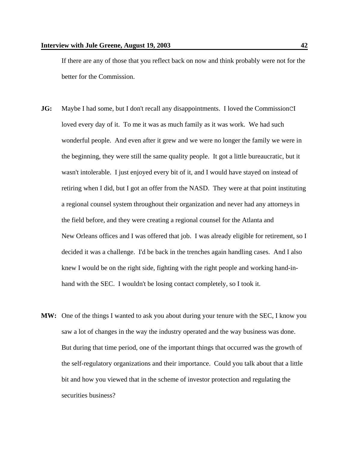If there are any of those that you reflect back on now and think probably were not for the better for the Commission.

- **JG:** Maybe I had some, but I don't recall any disappointments. I loved the CommissionCI loved every day of it. To me it was as much family as it was work. We had such wonderful people. And even after it grew and we were no longer the family we were in the beginning, they were still the same quality people. It got a little bureaucratic, but it wasn't intolerable. I just enjoyed every bit of it, and I would have stayed on instead of retiring when I did, but I got an offer from the NASD. They were at that point instituting a regional counsel system throughout their organization and never had any attorneys in the field before, and they were creating a regional counsel for the Atlanta and New Orleans offices and I was offered that job. I was already eligible for retirement, so I decided it was a challenge. I'd be back in the trenches again handling cases. And I also knew I would be on the right side, fighting with the right people and working hand-inhand with the SEC. I wouldn't be losing contact completely, so I took it.
- **MW:** One of the things I wanted to ask you about during your tenure with the SEC, I know you saw a lot of changes in the way the industry operated and the way business was done. But during that time period, one of the important things that occurred was the growth of the self-regulatory organizations and their importance. Could you talk about that a little bit and how you viewed that in the scheme of investor protection and regulating the securities business?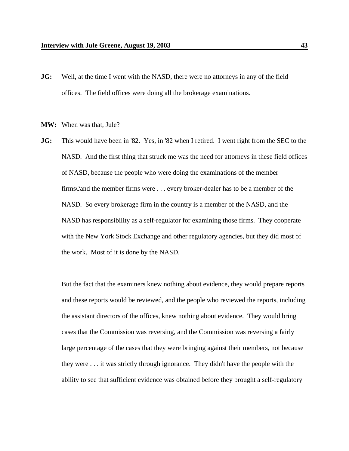- **JG:** Well, at the time I went with the NASD, there were no attorneys in any of the field offices. The field offices were doing all the brokerage examinations.
- **MW:** When was that, Jule?
- **JG:** This would have been in '82. Yes, in '82 when I retired. I went right from the SEC to the NASD. And the first thing that struck me was the need for attorneys in these field offices of NASD, because the people who were doing the examinations of the member firmsCand the member firms were . . . every broker-dealer has to be a member of the NASD. So every brokerage firm in the country is a member of the NASD, and the NASD has responsibility as a self-regulator for examining those firms. They cooperate with the New York Stock Exchange and other regulatory agencies, but they did most of the work. Most of it is done by the NASD.

But the fact that the examiners knew nothing about evidence, they would prepare reports and these reports would be reviewed, and the people who reviewed the reports, including the assistant directors of the offices, knew nothing about evidence. They would bring cases that the Commission was reversing, and the Commission was reversing a fairly large percentage of the cases that they were bringing against their members, not because they were . . . it was strictly through ignorance. They didn't have the people with the ability to see that sufficient evidence was obtained before they brought a self-regulatory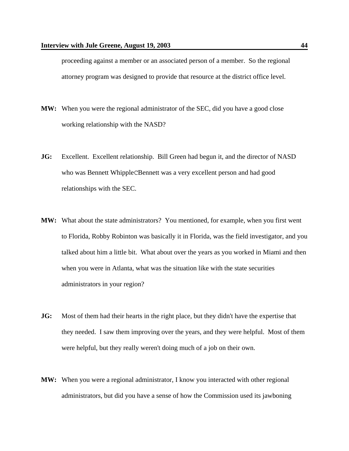proceeding against a member or an associated person of a member. So the regional attorney program was designed to provide that resource at the district office level.

- **MW:** When you were the regional administrator of the SEC, did you have a good close working relationship with the NASD?
- **JG:** Excellent. Excellent relationship. Bill Green had begun it, and the director of NASD who was Bennett WhippleCBennett was a very excellent person and had good relationships with the SEC.
- **MW:** What about the state administrators? You mentioned, for example, when you first went to Florida, Robby Robinton was basically it in Florida, was the field investigator, and you talked about him a little bit. What about over the years as you worked in Miami and then when you were in Atlanta, what was the situation like with the state securities administrators in your region?
- **JG:** Most of them had their hearts in the right place, but they didn't have the expertise that they needed. I saw them improving over the years, and they were helpful. Most of them were helpful, but they really weren't doing much of a job on their own.
- **MW:** When you were a regional administrator, I know you interacted with other regional administrators, but did you have a sense of how the Commission used its jawboning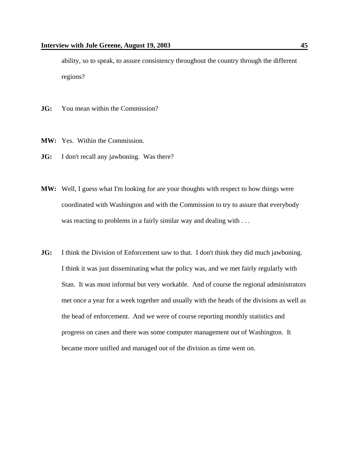ability, so to speak, to assure consistency throughout the country through the different regions?

- **JG:** You mean within the Commission?
- **MW:** Yes. Within the Commission.
- **JG:** I don't recall any jawboning. Was there?
- **MW:** Well, I guess what I'm looking for are your thoughts with respect to how things were coordinated with Washington and with the Commission to try to assure that everybody was reacting to problems in a fairly similar way and dealing with ...
- **JG:** I think the Division of Enforcement saw to that. I don't think they did much jawboning. I think it was just disseminating what the policy was, and we met fairly regularly with Stan. It was most informal but very workable. And of course the regional administrators met once a year for a week together and usually with the heads of the divisions as well as the head of enforcement. And we were of course reporting monthly statistics and progress on cases and there was some computer management out of Washington. It became more unified and managed out of the division as time went on.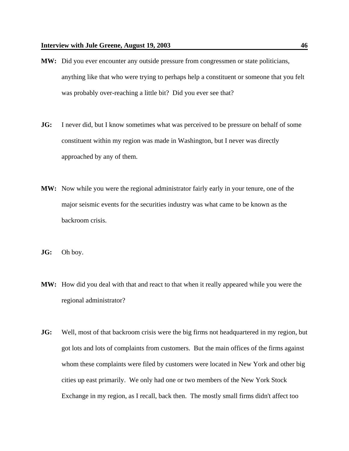- **MW:** Did you ever encounter any outside pressure from congressmen or state politicians, anything like that who were trying to perhaps help a constituent or someone that you felt was probably over-reaching a little bit? Did you ever see that?
- **JG:** I never did, but I know sometimes what was perceived to be pressure on behalf of some constituent within my region was made in Washington, but I never was directly approached by any of them.
- **MW:** Now while you were the regional administrator fairly early in your tenure, one of the major seismic events for the securities industry was what came to be known as the backroom crisis.
- **JG:** Oh boy.
- **MW:** How did you deal with that and react to that when it really appeared while you were the regional administrator?
- **JG:** Well, most of that backroom crisis were the big firms not headquartered in my region, but got lots and lots of complaints from customers. But the main offices of the firms against whom these complaints were filed by customers were located in New York and other big cities up east primarily. We only had one or two members of the New York Stock Exchange in my region, as I recall, back then. The mostly small firms didn't affect too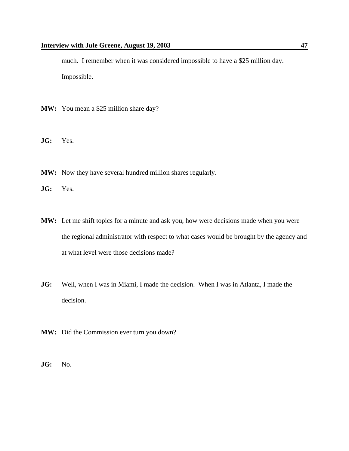much. I remember when it was considered impossible to have a \$25 million day. Impossible.

- **MW:** You mean a \$25 million share day?
- **JG:** Yes.
- **MW:** Now they have several hundred million shares regularly.
- **JG:** Yes.
- **MW:** Let me shift topics for a minute and ask you, how were decisions made when you were the regional administrator with respect to what cases would be brought by the agency and at what level were those decisions made?
- **JG:** Well, when I was in Miami, I made the decision. When I was in Atlanta, I made the decision.
- **MW:** Did the Commission ever turn you down?
- **JG:** No.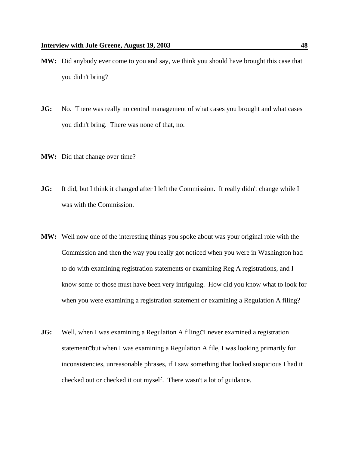- **MW:** Did anybody ever come to you and say, we think you should have brought this case that you didn't bring?
- **JG:** No. There was really no central management of what cases you brought and what cases you didn't bring. There was none of that, no.
- **MW:** Did that change over time?
- **JG:** It did, but I think it changed after I left the Commission. It really didn't change while I was with the Commission.
- **MW:** Well now one of the interesting things you spoke about was your original role with the Commission and then the way you really got noticed when you were in Washington had to do with examining registration statements or examining Reg A registrations, and I know some of those must have been very intriguing. How did you know what to look for when you were examining a registration statement or examining a Regulation A filing?
- **JG:** Well, when I was examining a Regulation A filingCI never examined a registration statementCbut when I was examining a Regulation A file, I was looking primarily for inconsistencies, unreasonable phrases, if I saw something that looked suspicious I had it checked out or checked it out myself. There wasn't a lot of guidance.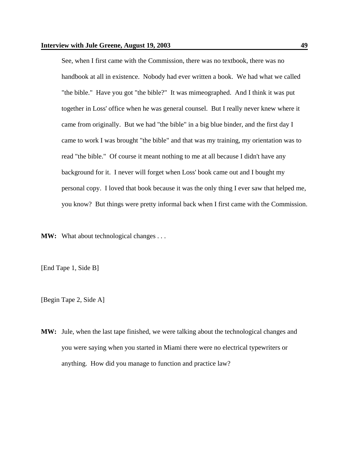See, when I first came with the Commission, there was no textbook, there was no handbook at all in existence. Nobody had ever written a book. We had what we called "the bible." Have you got "the bible?" It was mimeographed. And I think it was put together in Loss' office when he was general counsel. But I really never knew where it came from originally. But we had "the bible" in a big blue binder, and the first day I came to work I was brought "the bible" and that was my training, my orientation was to read "the bible." Of course it meant nothing to me at all because I didn't have any background for it. I never will forget when Loss' book came out and I bought my personal copy. I loved that book because it was the only thing I ever saw that helped me, you know? But things were pretty informal back when I first came with the Commission.

**MW:** What about technological changes . . .

[End Tape 1, Side B]

[Begin Tape 2, Side A]

**MW:** Jule, when the last tape finished, we were talking about the technological changes and you were saying when you started in Miami there were no electrical typewriters or anything. How did you manage to function and practice law?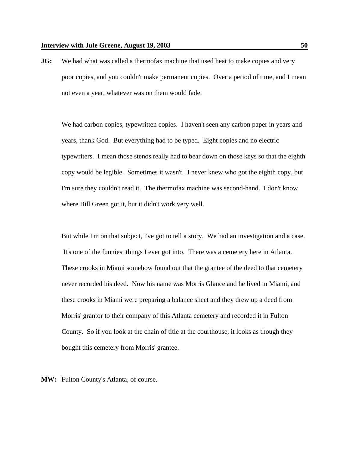**JG:** We had what was called a thermofax machine that used heat to make copies and very poor copies, and you couldn't make permanent copies. Over a period of time, and I mean not even a year, whatever was on them would fade.

We had carbon copies, typewritten copies. I haven't seen any carbon paper in years and years, thank God. But everything had to be typed. Eight copies and no electric typewriters. I mean those stenos really had to bear down on those keys so that the eighth copy would be legible. Sometimes it wasn't. I never knew who got the eighth copy, but I'm sure they couldn't read it. The thermofax machine was second-hand. I don't know where Bill Green got it, but it didn't work very well.

But while I'm on that subject, I've got to tell a story. We had an investigation and a case. It's one of the funniest things I ever got into. There was a cemetery here in Atlanta. These crooks in Miami somehow found out that the grantee of the deed to that cemetery never recorded his deed. Now his name was Morris Glance and he lived in Miami, and these crooks in Miami were preparing a balance sheet and they drew up a deed from Morris' grantor to their company of this Atlanta cemetery and recorded it in Fulton County. So if you look at the chain of title at the courthouse, it looks as though they bought this cemetery from Morris' grantee.

**MW:** Fulton County's Atlanta, of course.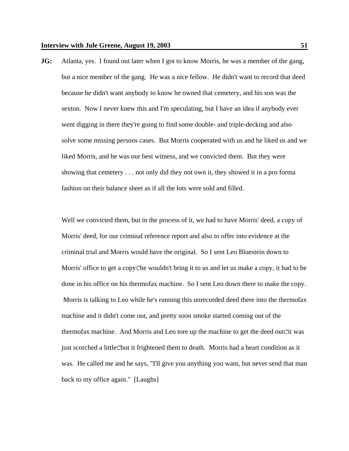**JG:** Atlanta, yes. I found out later when I got to know Morris, he was a member of the gang, but a nice member of the gang. He was a nice fellow. He didn't want to record that deed because he didn't want anybody to know he owned that cemetery, and his son was the sexton. Now I never knew this and I'm speculating, but I have an idea if anybody ever went digging in there they're going to find some double- and triple-decking and also solve some missing persons cases. But Morris cooperated with us and he liked us and we liked Morris, and he was our best witness, and we convicted them. But they were showing that cemetery . . . not only did they not own it, they showed it in a pro forma fashion on their balance sheet as if all the lots were sold and filled.

Well we convicted them, but in the process of it, we had to have Morris' deed, a copy of Morris' deed, for our criminal reference report and also to offer into evidence at the criminal trial and Morris would have the original. So I sent Leo Bluestein down to Morris' office to get a copyChe wouldn't bring it to us and let us make a copy, it had to be done in his office on his thermofax machine. So I sent Leo down there to make the copy. Morris is talking to Leo while he's running this unrecorded deed there into the thermofax machine and it didn't come out, and pretty soon smoke started coming out of the thermofax machine. And Morris and Leo tore up the machine to get the deed outCit was just scorched a littleCbut it frightened them to death. Morris had a heart condition as it was. He called me and he says, "I'll give you anything you want, but never send that man back to my office again." [Laughs]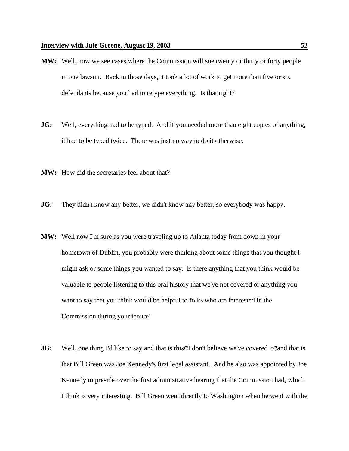- **MW:** Well, now we see cases where the Commission will sue twenty or thirty or forty people in one lawsuit. Back in those days, it took a lot of work to get more than five or six defendants because you had to retype everything. Is that right?
- **JG:** Well, everything had to be typed. And if you needed more than eight copies of anything, it had to be typed twice. There was just no way to do it otherwise.
- **MW:** How did the secretaries feel about that?
- **JG:** They didn't know any better, we didn't know any better, so everybody was happy.
- **MW:** Well now I'm sure as you were traveling up to Atlanta today from down in your hometown of Dublin, you probably were thinking about some things that you thought I might ask or some things you wanted to say. Is there anything that you think would be valuable to people listening to this oral history that we've not covered or anything you want to say that you think would be helpful to folks who are interested in the Commission during your tenure?
- **JG:** Well, one thing I'd like to say and that is thisCI don't believe we've covered itCand that is that Bill Green was Joe Kennedy's first legal assistant. And he also was appointed by Joe Kennedy to preside over the first administrative hearing that the Commission had, which I think is very interesting. Bill Green went directly to Washington when he went with the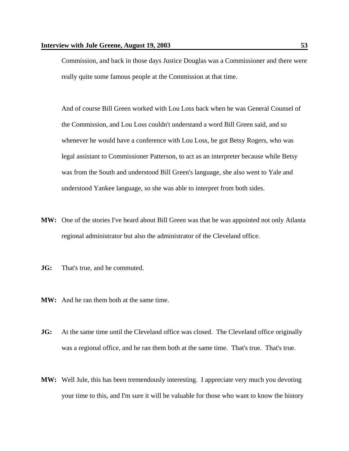Commission, and back in those days Justice Douglas was a Commissioner and there were really quite some famous people at the Commission at that time.

And of course Bill Green worked with Lou Loss back when he was General Counsel of the Commission, and Lou Loss couldn't understand a word Bill Green said, and so whenever he would have a conference with Lou Loss, he got Betsy Rogers, who was legal assistant to Commissioner Patterson, to act as an interpreter because while Betsy was from the South and understood Bill Green's language, she also went to Yale and understood Yankee language, so she was able to interpret from both sides.

- **MW:** One of the stories I've heard about Bill Green was that he was appointed not only Atlanta regional administrator but also the administrator of the Cleveland office.
- **JG:** That's true, and he commuted.
- **MW:** And he ran them both at the same time.
- **JG:** At the same time until the Cleveland office was closed. The Cleveland office originally was a regional office, and he ran them both at the same time. That's true. That's true.
- **MW:** Well Jule, this has been tremendously interesting. I appreciate very much you devoting your time to this, and I'm sure it will be valuable for those who want to know the history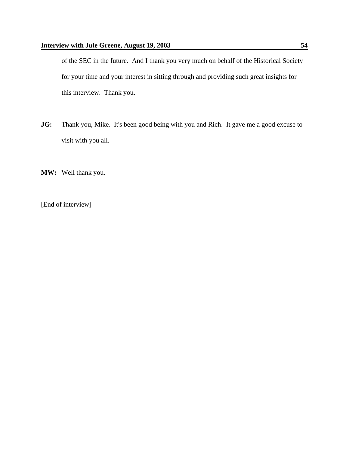of the SEC in the future. And I thank you very much on behalf of the Historical Society for your time and your interest in sitting through and providing such great insights for this interview. Thank you.

- **JG:** Thank you, Mike. It's been good being with you and Rich. It gave me a good excuse to visit with you all.
- **MW:** Well thank you.

[End of interview]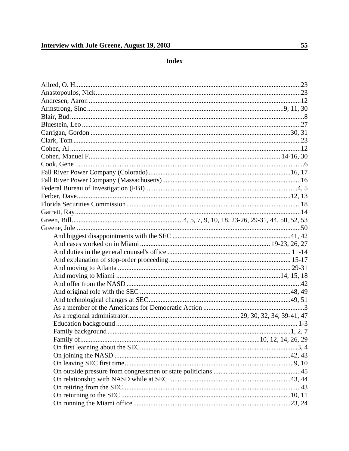**Index**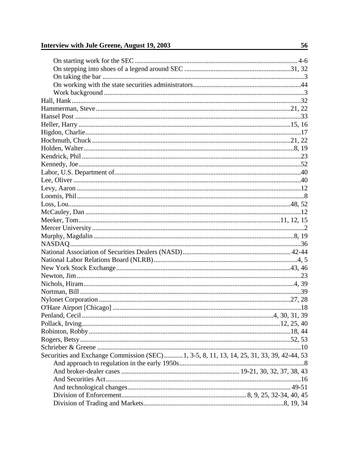## Interview with Jule Greene, August 19, 2003

| Securities and Exchange Commission (SEC) 1, 3-5, 8, 11, 13, 14, 25, 31, 33, 39, 42-44, 53 |  |
|-------------------------------------------------------------------------------------------|--|
|                                                                                           |  |
|                                                                                           |  |
|                                                                                           |  |
|                                                                                           |  |
|                                                                                           |  |
|                                                                                           |  |